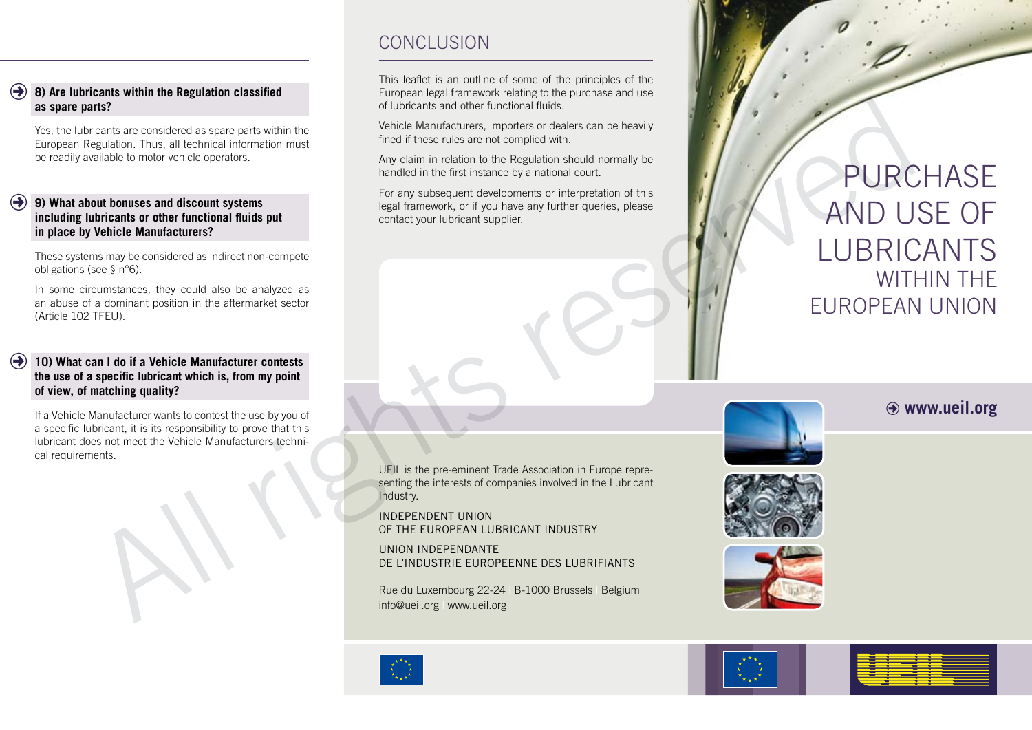## **8) Are lubricants within the Regulation classified as spare parts?**  $\bigodot$

Yes, the lubricants are considered as spare parts within the European Regulation. Thus, all technical information must be readily available to motor vehicle operators.

## **9) What about bonuses and discount systems**  F **including lubricants or other functional fluids put in place by Vehicle Manufacturers?**

These systems may be considered as indirect non-compete obligations (see § n°6).

In some circumstances, they could also be analyzed as an abuse of a dominant position in the aftermarket sector (Article 102 TFEU).

## **10) What can I do if a Vehicle Manufacturer contests the use of a specific lubricant which is, from my point of view, of matching quality?**  $\left( \rightarrow \right)$

If a Vehicle Manufacturer wants to contest the use by you of a specific lubricant, it is its responsibility to prove that this lubricant does not meet the Vehicle Manufacturers technical requirements.

## CONCLUSION

This leaflet is an outline of some of the principles of the European legal framework relating to the purchase and use of lubricants and other functional fluids.

Vehicle Manufacturers, importers or dealers can be heavily fined if these rules are not complied with.

Any claim in relation to the Regulation should normally be handled in the first instance by a national court.

For any subsequent developments or interpretation of this legal framework, or if you have any further queries, please contact your lubricant supplier.

UEIL is the pre-eminent Trade Association in Europe representing the interests of companies involved in the Lubricant Industry.

INDEPENDENT UNION OF THE EUROPEAN LUBRICANT INDUSTRY

UNION INDEPENDANTE DE L'INDUSTRIE EUROPEENNE DES LUBRIFIANTS



# PURCHASE AND USE OF LUBRICANTS WITHIN THE EUROPEAN UNION Rue du Rue du Luxembourg 22-24 | B-1000 Brussels | William South Control and Control and Control and Control and Control and Control and Control and Control and Control and Control and Control and Control and Control and C

## $\Theta$  www.ueil.org